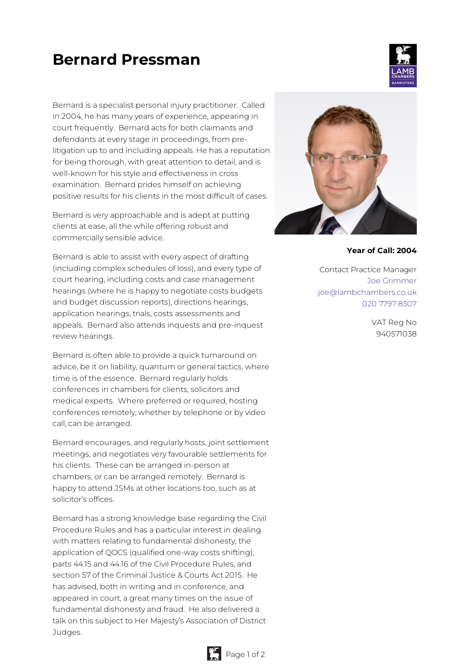# **Bernard Pressman**

Bernard is a specialist personal injury practitioner. Called in 2004, he has many years of experience, appearing in court frequently. Bernard acts for both claimants and defendants at every stage in proceedings, from prelitigation up to and including appeals. He has a reputation for being thorough, with great attention to detail, and is well-known for his style and effectiveness in cross examination. Bernard prides himself on achieving positive results for his clients in the most difficult of cases.

Bernard is very approachable and is adept at putting clients at ease, all the while offering robust and commercially sensible advice.

Bernard is able to assist with every aspect of drafting (including complex schedules of loss), and every type of court hearing, including costs and case management hearings (where he is happy to negotiate costs budgets and budget discussion reports), directions hearings, application hearings, trials, costs assessments and appeals. Bernard also attends inquests and pre-inquest review hearings.

Bernard is often able to provide a quick turnaround on advice, be it on liability, quantum or general tactics, where time is of the essence. Bernard regularly holds conferences in chambers for clients, solicitors and medical experts. Where preferred or required, hosting conferences remotely, whether by telephone or by video call, can be arranged.

Bernard encourages, and regularly hosts, joint settlement meetings, and negotiates very favourable settlements for his clients. These can be arranged in-person at chambers, or can be arranged remotely. Bernard is happy to attend JSMs at other locations too, such as at solicitor's offices.

Bernard has a strong knowledge base regarding the Civil Procedure Rules and has a particular interest in dealing with matters relating to fundamental dishonesty, the application of QOCS (qualified one-way costs shifting), parts 44.15 and 44.16 of the Civil Procedure Rules, and section 57 of the Criminal Justice & Courts Act 2015. He has advised, both in writing and in conference, and appeared in court, a great many times on the issue of fundamental dishonesty and fraud. He also delivered a talk on this subject to Her Majesty's Association of District Judges.



#### **Year of Call: 2004**

Contact Practice Manager Joe [Grimmer](mailto:joe@lambchambers.co.uk) [joe@lambchambers.co.uk](mailto:joe@lambchambers.co.uk) 020 7797 [8307](tel:020%207797%208307)

> VAT Reg No 940571038